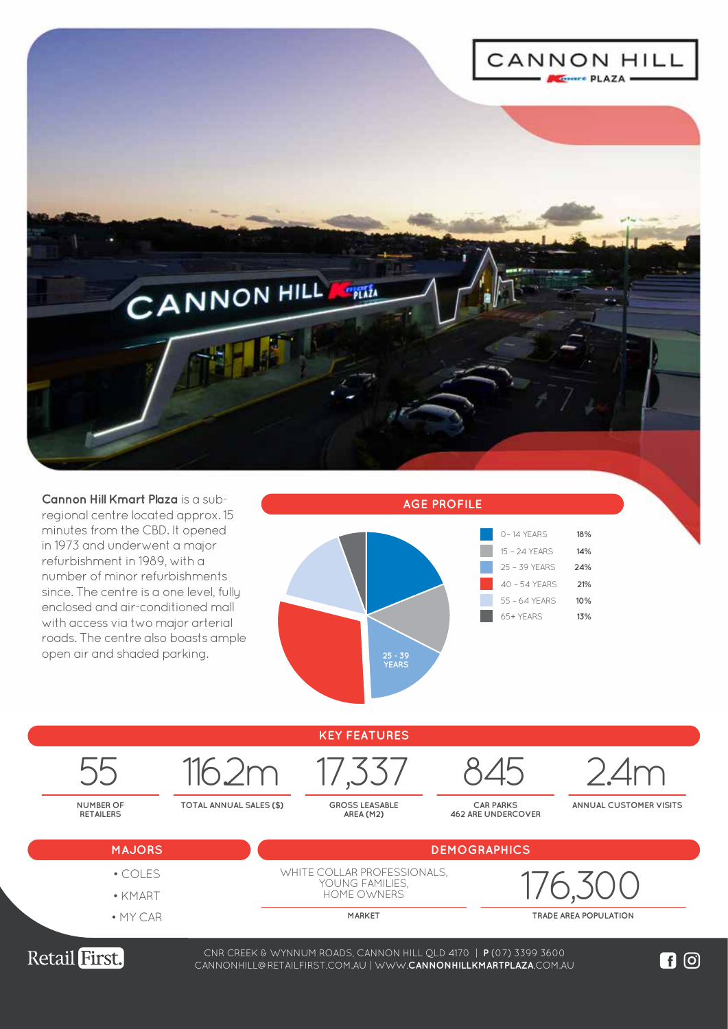

**Cannon Hill Kmart Plaza** is a subregional centre located approx. 15 minutes from the CBD. It opened in 1973 and underwent a major refurbishment in 1989, with a number of minor refurbishments since. The centre is a one level, fully enclosed and air-conditioned mall with access via two major arterial roads. The centre also boasts ample open air and shaded parking.





CNR CREEK & WYNNUM ROADS, CANNON HILL QLD 4170 | **P** (07) 3399 3600 WWW.**LOGANCENTRALPLAZA**.COM.AU CANNONHILL@RETAILFIRST.COM.AU | WWW.**CANNONHILLKMARTPLAZA**.COM.AU